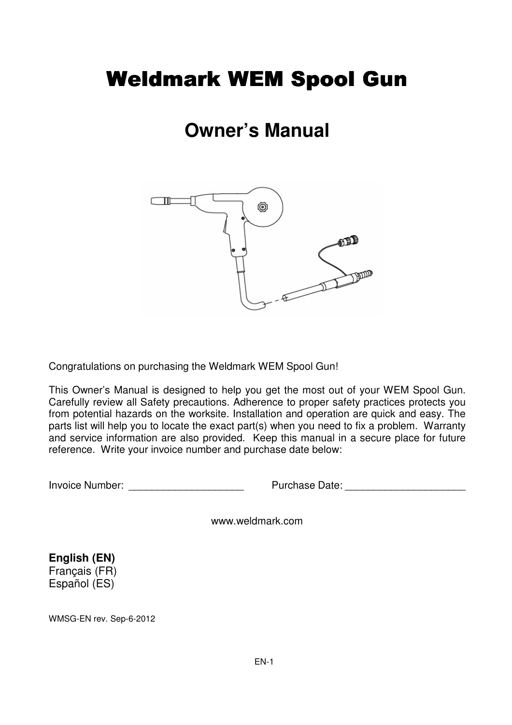# Weldmark WEM Spool Gun

# **Owner's Manual**



Congratulations on purchasing the Weldmark WEM Spool Gun!

This Owner's Manual is designed to help you get the most out of your WEM Spool Gun. Carefully review all Safety precautions. Adherence to proper safety practices protects you from potential hazards on the worksite. Installation and operation are quick and easy. The parts list will help you to locate the exact part(s) when you need to fix a problem. Warranty and service information are also provided. Keep this manual in a secure place for future reference. Write your invoice number and purchase date below:

Invoice Number: <br>
Invoice Number: 
The Purchase Date:

www.weldmark.com

**English (EN)** Français (FR) Español (ES)

WMSG-EN rev. Sep-6-2012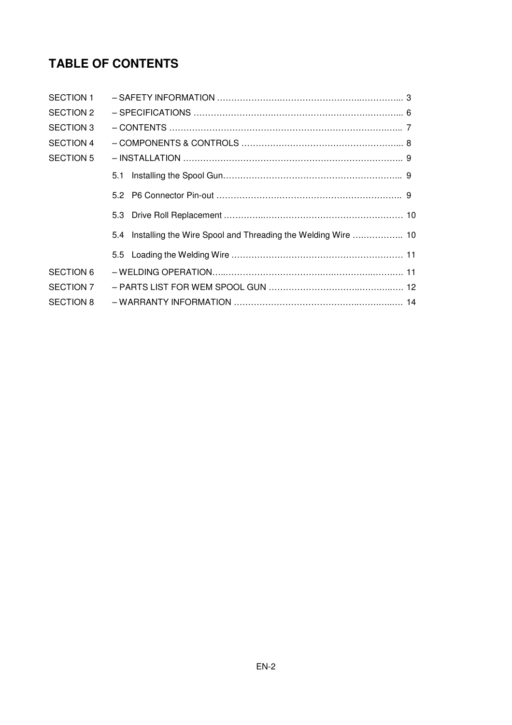## **TABLE OF CONTENTS**

| <b>SECTION 1</b> |                                                                  |  |
|------------------|------------------------------------------------------------------|--|
| <b>SECTION 2</b> |                                                                  |  |
| <b>SECTION 3</b> |                                                                  |  |
| <b>SECTION 4</b> |                                                                  |  |
| <b>SECTION 5</b> |                                                                  |  |
|                  |                                                                  |  |
|                  |                                                                  |  |
|                  |                                                                  |  |
|                  | 5.4 Installing the Wire Spool and Threading the Welding Wire  10 |  |
|                  |                                                                  |  |
| <b>SECTION 6</b> |                                                                  |  |
| <b>SECTION 7</b> |                                                                  |  |
| <b>SECTION 8</b> |                                                                  |  |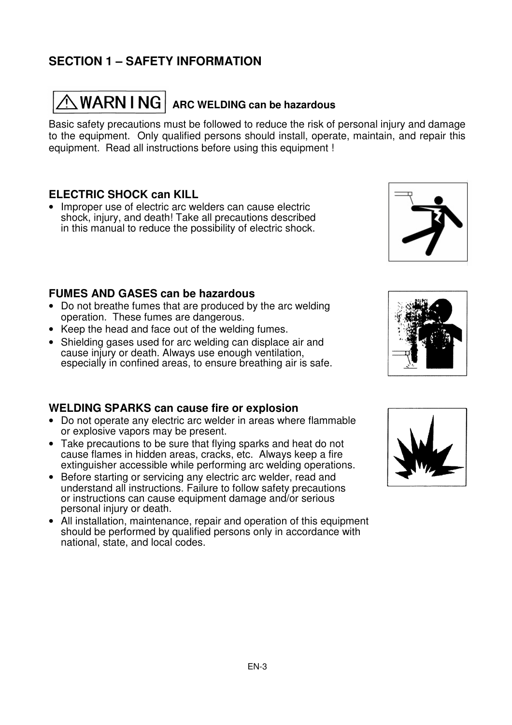## **SECTION 1 – SAFETY INFORMATION**

# $\hat{\wedge}$  WARN I NG  $|$  arc welding can be hazardous

Basic safety precautions must be followed to reduce the risk of personal injury and damage to the equipment. Only qualified persons should install, operate, maintain, and repair this equipment. Read all instructions before using this equipment !

#### **ELECTRIC SHOCK can KILL**

• Improper use of electric arc welders can cause electric shock, injury, and death! Take all precautions described in this manual to reduce the possibility of electric shock.

#### **FUMES AND GASES can be hazardous**

- Do not breathe fumes that are produced by the arc welding operation. These fumes are dangerous.
- Keep the head and face out of the welding fumes.
- Shielding gases used for arc welding can displace air and cause injury or death. Always use enough ventilation, especially in confined areas, to ensure breathing air is safe.

#### **WELDING SPARKS can cause fire or explosion**

- Do not operate any electric arc welder in areas where flammable or explosive vapors may be present.
- Take precautions to be sure that flying sparks and heat do not cause flames in hidden areas, cracks, etc. Always keep a fire extinguisher accessible while performing arc welding operations.
- Before starting or servicing any electric arc welder, read and understand all instructions. Failure to follow safety precautions or instructions can cause equipment damage and/or serious personal injury or death.
- All installation, maintenance, repair and operation of this equipment should be performed by qualified persons only in accordance with national, state, and local codes.





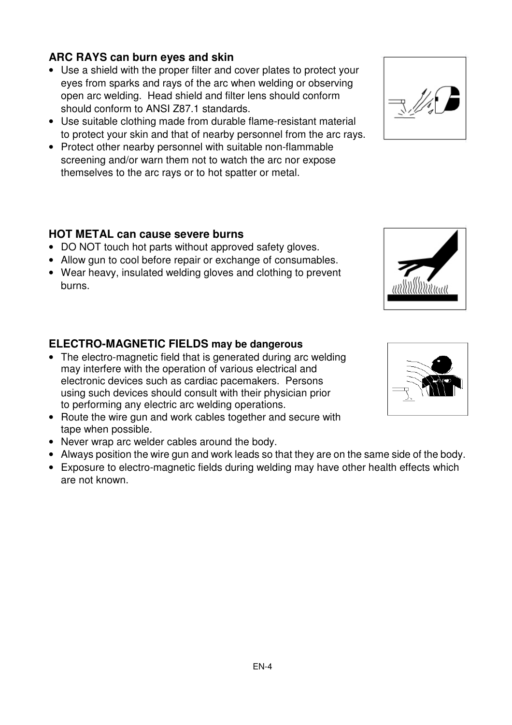### **ARC RAYS can burn eyes and skin**

- Use a shield with the proper filter and cover plates to protect your eyes from sparks and rays of the arc when welding or observing open arc welding. Head shield and filter lens should conform should conform to ANSI Z87.1 standards.
- Use suitable clothing made from durable flame-resistant material to protect your skin and that of nearby personnel from the arc rays.
- Protect other nearby personnel with suitable non-flammable screening and/or warn them not to watch the arc nor expose themselves to the arc rays or to hot spatter or metal.

#### **HOT METAL can cause severe burns**

- DO NOT touch hot parts without approved safety gloves.
- Allow gun to cool before repair or exchange of consumables.
- Wear heavy, insulated welding gloves and clothing to prevent burns.

#### **ELECTRO-MAGNETIC FIELDS may be dangerous**

- The electro-magnetic field that is generated during arc welding may interfere with the operation of various electrical and electronic devices such as cardiac pacemakers. Persons using such devices should consult with their physician prior to performing any electric arc welding operations.
- Route the wire gun and work cables together and secure with tape when possible.
- Never wrap arc welder cables around the body.
- Always position the wire gun and work leads so that they are on the same side of the body.
- Exposure to electro-magnetic fields during welding may have other health effects which are not known.





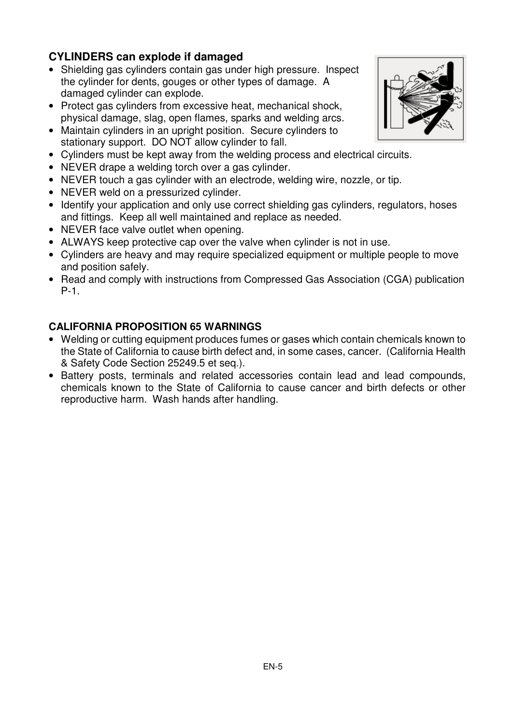### **CYLINDERS can explode if damaged**

- Shielding gas cylinders contain gas under high pressure. Inspect the cylinder for dents, gouges or other types of damage. A damaged cylinder can explode.
- Protect gas cylinders from excessive heat, mechanical shock, physical damage, slag, open flames, sparks and welding arcs.
- Maintain cylinders in an upright position. Secure cylinders to stationary support. DO NOT allow cylinder to fall.
- Cylinders must be kept away from the welding process and electrical circuits.
- NEVER drape a welding torch over a gas cylinder.
- NEVER touch a gas cylinder with an electrode, welding wire, nozzle, or tip.
- NEVER weld on a pressurized cylinder.
- Identify your application and only use correct shielding gas cylinders, regulators, hoses and fittings. Keep all well maintained and replace as needed.
- NEVER face valve outlet when opening.
- ALWAYS keep protective cap over the valve when cylinder is not in use.
- Cylinders are heavy and may require specialized equipment or multiple people to move and position safely.
- Read and comply with instructions from Compressed Gas Association (CGA) publication P-1.

#### **CALIFORNIA PROPOSITION 65 WARNINGS**

- Welding or cutting equipment produces fumes or gases which contain chemicals known to the State of California to cause birth defect and, in some cases, cancer. (California Health & Safety Code Section 25249.5 et seq.).
- Battery posts, terminals and related accessories contain lead and lead compounds, chemicals known to the State of California to cause cancer and birth defects or other reproductive harm. Wash hands after handling.

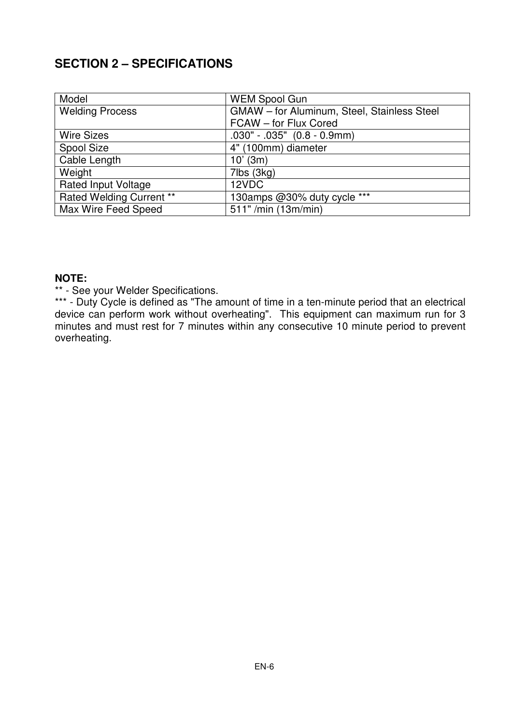## **SECTION 2 – SPECIFICATIONS**

| Model                           | <b>WEM Spool Gun</b>                        |
|---------------------------------|---------------------------------------------|
| <b>Welding Process</b>          | GMAW - for Aluminum, Steel, Stainless Steel |
|                                 | FCAW - for Flux Cored                       |
| <b>Wire Sizes</b>               | $.030" - .035"$ $(0.8 - 0.9mm)$             |
| Spool Size                      | 4" (100mm) diameter                         |
| Cable Length                    | $10'$ (3m)                                  |
| Weight                          | 7lbs (3kg)                                  |
| <b>Rated Input Voltage</b>      | 12VDC                                       |
| <b>Rated Welding Current **</b> | 130amps @30% duty cycle ***                 |
| Max Wire Feed Speed             | 511" /min (13m/min)                         |

#### **NOTE:**

\*\* - See your Welder Specifications.

\*\*\* - Duty Cycle is defined as "The amount of time in a ten-minute period that an electrical device can perform work without overheating". This equipment can maximum run for 3 minutes and must rest for 7 minutes within any consecutive 10 minute period to prevent overheating.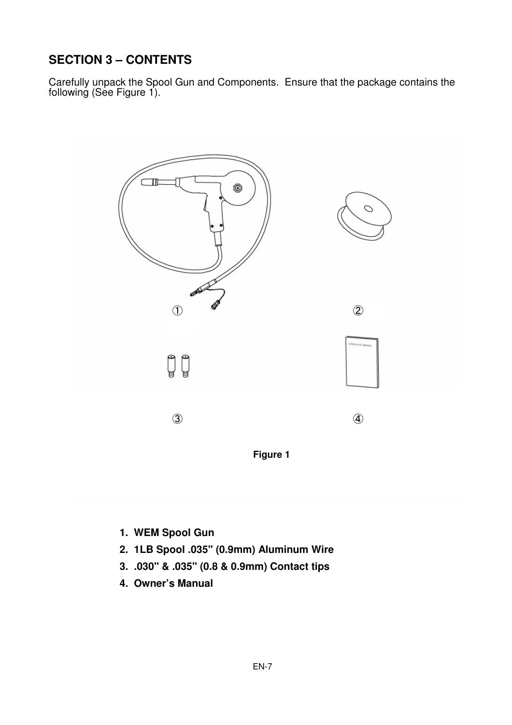## **SECTION 3 – CONTENTS**

Carefully unpack the Spool Gun and Components. Ensure that the package contains the following (See Figure 1).



- **1. WEM Spool Gun**
- **2. 1LB Spool .035" (0.9mm) Aluminum Wire**
- **3. .030" & .035" (0.8 & 0.9mm) Contact tips**
- **4. Owner's Manual**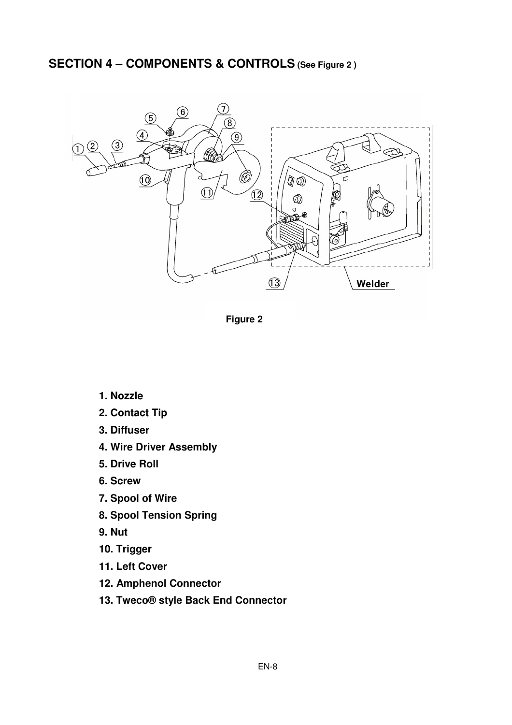## SECTION 4 – COMPONENTS & CONTROLS (See Figure 2)



**Figure 2** 

- **1. Nozzle**
- **2. Contact Tip**
- **3. Diffuser**
- **4. Wire Driver Assembly**
- **5. Drive Roll**
- **6. Screw**
- **7. Spool of Wire**
- **8. Spool Tension Spring**
- **9. Nut**
- **10. Trigger**
- **11. Left Cover**
- **12. Amphenol Connector**
- **13. Tweco® style Back End Connector**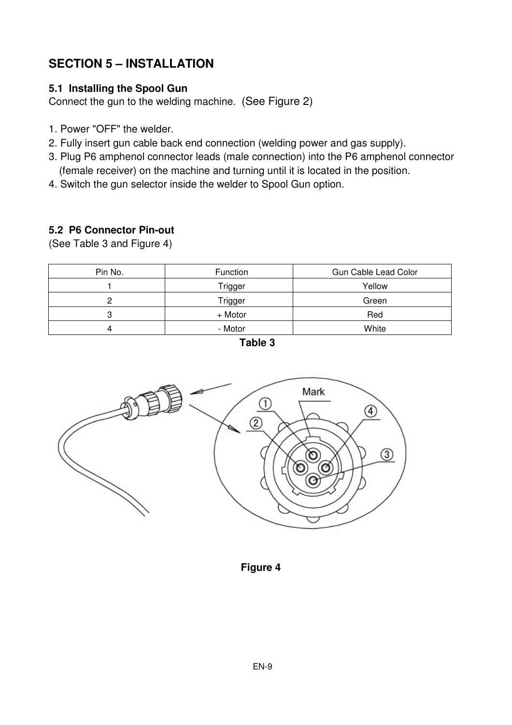## **SECTION 5 – INSTALLATION**

#### **5.1 Installing the Spool Gun**

Connect the gun to the welding machine. (See Figure 2)

- 1. Power "OFF" the welder.
- 2. Fully insert gun cable back end connection (welding power and gas supply).
- 3. Plug P6 amphenol connector leads (male connection) into the P6 amphenol connector (female receiver) on the machine and turning until it is located in the position.
- 4. Switch the gun selector inside the welder to Spool Gun option.

#### **5.2 P6 Connector Pin-out**

(See Table 3 and Figure 4)

| Pin No. | Function | Gun Cable Lead Color |
|---------|----------|----------------------|
|         | Trigger  | Yellow               |
|         | Trigger  | Green                |
|         | + Motor  | Red                  |
|         | - Motor  | White                |





 **Figure 4**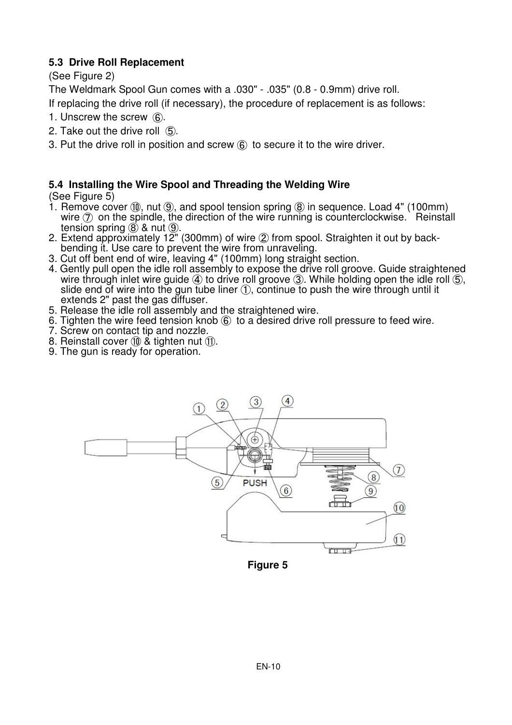#### **5.3 Drive Roll Replacement**

(See Figure 2)

The Weldmark Spool Gun comes with a .030" - .035" (0.8 - 0.9mm) drive roll.

If replacing the drive roll (if necessary), the procedure of replacement is as follows:

- 1. Unscrew the screw ⑥.
- 2. Take out the drive roll ⑤.
- 3. Put the drive roll in position and screw ⑥ to secure it to the wire driver.

#### **5.4 Installing the Wire Spool and Threading the Welding Wire**

(See Figure 5)

- 1. Remove cover ⑩, nut ⑨, and spool tension spring ⑧ in sequence. Load 4" (100mm) wire  $(7)$  on the spindle, the direction of the wire running is counterclockwise. Reinstall tension spring ⑧ & nut ⑨.
- 2. Extend approximately 12" (300mm) of wire ② from spool. Straighten it out by backbending it. Use care to prevent the wire from unraveling.
- 3. Cut off bent end of wire, leaving 4" (100mm) long straight section.
- 4. Gently pull open the idle roll assembly to expose the drive roll groove. Guide straightened wire through inlet wire guide  $\vec{q}$ ) to drive roll groove  $\vec{q}$ ). While holding open the idle roll  $\vec{q}$ ), slide end of wire into the gun tube liner ①, continue to push the wire through until it extends 2" past the gas diffuser.
- 5. Release the idle roll assembly and the straightened wire.
- 6. Tighten the wire feed tension knob ⑥ to a desired drive roll pressure to feed wire.
- 7. Screw on contact tip and nozzle.
- 8. Reinstall cover ⑩ & tighten nut ⑪.
- 9. The gun is ready for operation.



**Figure 5**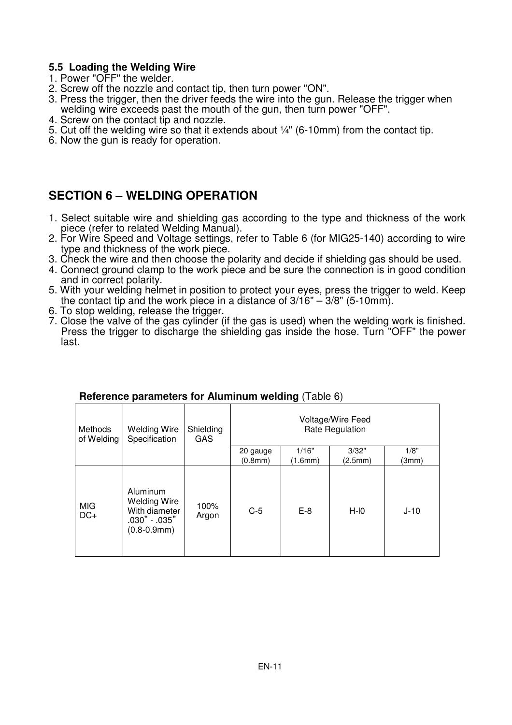#### **5.5 Loading the Welding Wire**

- 1. Power "OFF" the welder.
- 2. Screw off the nozzle and contact tip, then turn power "ON".
- 3. Press the trigger, then the driver feeds the wire into the gun. Release the trigger when welding wire exceeds past the mouth of the gun, then turn power "OFF".
- 4. Screw on the contact tip and nozzle.
- 5. Cut off the welding wire so that it extends about ¼" (6-10mm) from the contact tip.
- 6. Now the gun is ready for operation.

### **SECTION 6 – WELDING OPERATION**

- 1. Select suitable wire and shielding gas according to the type and thickness of the work piece (refer to related Welding Manual).
- 2. For Wire Speed and Voltage settings, refer to Table 6 (for MIG25-140) according to wire type and thickness of the work piece.
- 3. Check the wire and then choose the polarity and decide if shielding gas should be used.
- 4. Connect ground clamp to the work piece and be sure the connection is in good condition and in correct polarity.
- 5. With your welding helmet in position to protect your eyes, press the trigger to weld. Keep the contact tip and the work piece in a distance of  $3/16" - 3/8"$  (5-10mm).
- 6. To stop welding, release the trigger.
- 7. Close the valve of the gas cylinder (if the gas is used) when the welding work is finished. Press the trigger to discharge the shielding gas inside the hose. Turn "OFF" the power last.

|                       |                                                                                          |                         |                                      | ັ່      |         |        |
|-----------------------|------------------------------------------------------------------------------------------|-------------------------|--------------------------------------|---------|---------|--------|
| Methods<br>of Welding | Welding Wire<br>Specification                                                            | Shielding<br><b>GAS</b> | Voltage/Wire Feed<br>Rate Regulation |         |         |        |
|                       |                                                                                          |                         | 20 gauge                             | 1/16"   | 3/32"   | 1/8"   |
|                       |                                                                                          |                         | (0.8mm)                              | (1.6mm) | (2.5mm) | (3mm)  |
| <b>MIG</b><br>$DC+$   | Aluminum<br><b>Welding Wire</b><br>With diameter<br>.030" - .035"<br>$(0.8 - 0.9$ mm $)$ | 100%<br>Argon           | $C-5$                                | $E-8$   | $H-I0$  | $J-10$ |

#### **Reference parameters for Aluminum welding** (Table 6)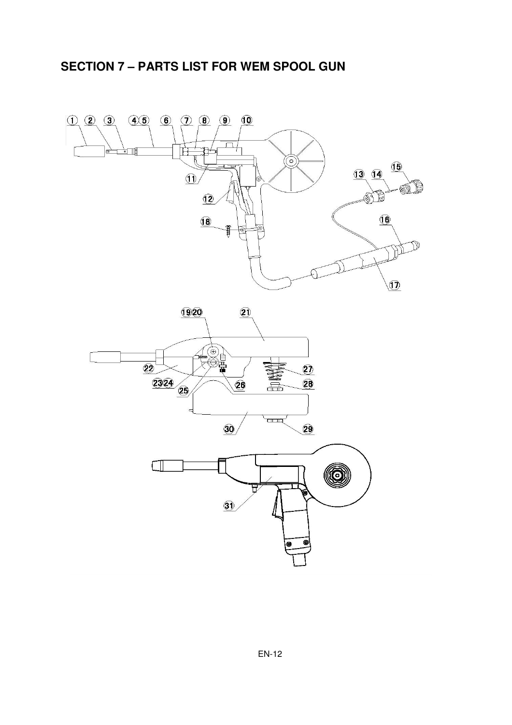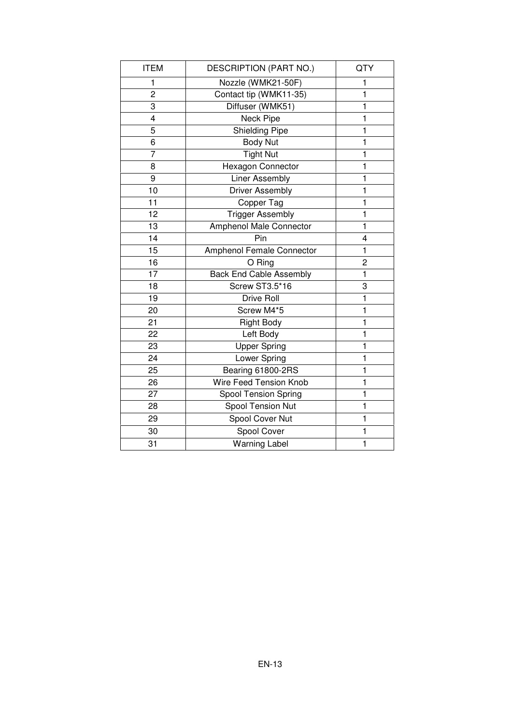| <b>ITEM</b>    | DESCRIPTION (PART NO.)         | QTY          |
|----------------|--------------------------------|--------------|
| 1              | Nozzle (WMK21-50F)             | 1            |
| $\overline{c}$ | Contact tip (WMK11-35)         | 1            |
| 3              | Diffuser (WMK51)               | $\mathbf{1}$ |
| $\overline{4}$ | Neck Pipe                      | 1            |
| 5              | <b>Shielding Pipe</b>          | 1            |
| 6              | <b>Body Nut</b>                | 1            |
| $\overline{7}$ | <b>Tight Nut</b>               | $\mathbf{1}$ |
| 8              | Hexagon Connector              | 1            |
| 9              | <b>Liner Assembly</b>          | $\mathbf{1}$ |
| 10             | <b>Driver Assembly</b>         | $\mathbf{1}$ |
| 11             | Copper Tag                     | 1            |
| 12             | <b>Trigger Assembly</b>        | 1            |
| 13             | Amphenol Male Connector        | 1            |
| 14             | Pin                            | 4            |
| 15             | Amphenol Female Connector      | $\mathbf{1}$ |
| 16             | O Ring                         | 2            |
| 17             | <b>Back End Cable Assembly</b> | 1            |
| 18             | <b>Screw ST3.5*16</b>          | 3            |
| 19             | Drive Roll                     | 1            |
| 20             | Screw M4*5                     | 1            |
| 21             | <b>Right Body</b>              | 1            |
| 22             | Left Body                      | 1            |
| 23             | <b>Upper Spring</b>            | 1            |
| 24             | Lower Spring                   | 1            |
| 25             | Bearing 61800-2RS              | 1            |
| 26             | Wire Feed Tension Knob         | 1            |
| 27             | <b>Spool Tension Spring</b>    | 1            |
| 28             | Spool Tension Nut              | 1            |
| 29             | Spool Cover Nut                | 1            |
| 30             | Spool Cover                    | 1            |
| 31             | Warning Label                  | $\mathbf{1}$ |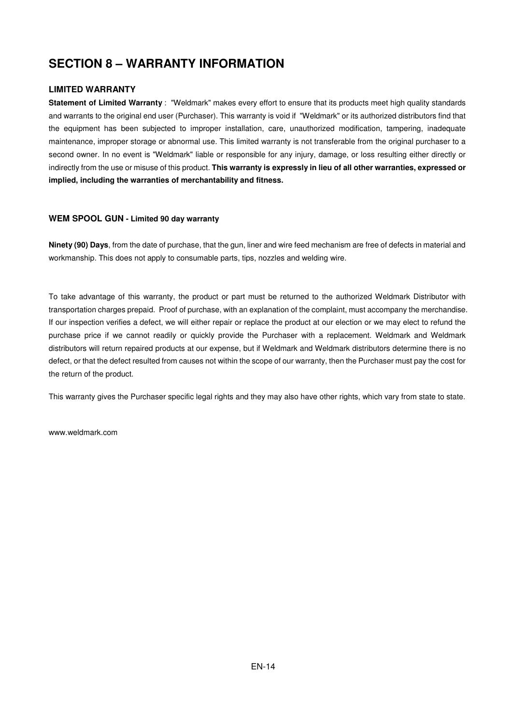## **SECTION 8 – WARRANTY INFORMATION**

#### **LIMITED WARRANTY**

**Statement of Limited Warranty** : "Weldmark" makes every effort to ensure that its products meet high quality standards and warrants to the original end user (Purchaser). This warranty is void if "Weldmark" or its authorized distributors find that the equipment has been subjected to improper installation, care, unauthorized modification, tampering, inadequate maintenance, improper storage or abnormal use. This limited warranty is not transferable from the original purchaser to a second owner. In no event is "Weldmark" liable or responsible for any injury, damage, or loss resulting either directly or indirectly from the use or misuse of this product. **This warranty is expressly in lieu of all other warranties, expressed or implied, including the warranties of merchantability and fitness.** 

#### **WEM SPOOL GUN - Limited 90 day warranty**

**Ninety (90) Days**, from the date of purchase, that the gun, liner and wire feed mechanism are free of defects in material and workmanship. This does not apply to consumable parts, tips, nozzles and welding wire.

To take advantage of this warranty, the product or part must be returned to the authorized Weldmark Distributor with transportation charges prepaid. Proof of purchase, with an explanation of the complaint, must accompany the merchandise. If our inspection verifies a defect, we will either repair or replace the product at our election or we may elect to refund the purchase price if we cannot readily or quickly provide the Purchaser with a replacement. Weldmark and Weldmark distributors will return repaired products at our expense, but if Weldmark and Weldmark distributors determine there is no defect, or that the defect resulted from causes not within the scope of our warranty, then the Purchaser must pay the cost for the return of the product.

This warranty gives the Purchaser specific legal rights and they may also have other rights, which vary from state to state.

www.weldmark.com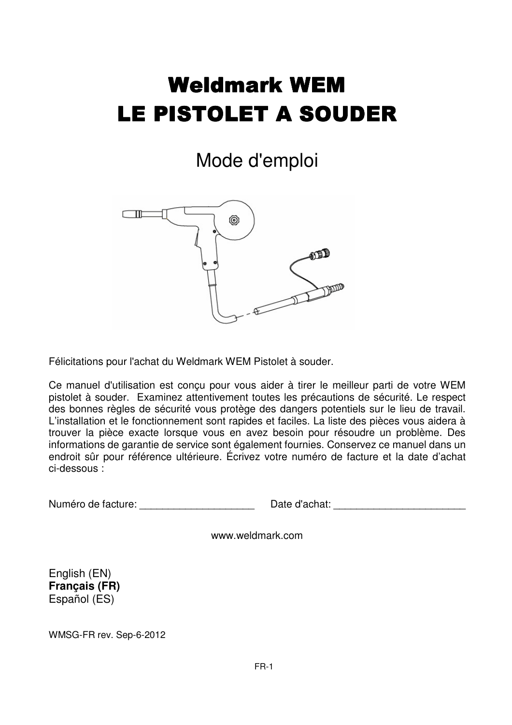# Weldmark WEM LE PISTOLET A SOUDER

# Mode d'emploi



Félicitations pour l'achat du Weldmark WEM Pistolet à souder.

Ce manuel d'utilisation est conçu pour vous aider à tirer le meilleur parti de votre WEM pistolet à souder. Examinez attentivement toutes les précautions de sécurité. Le respect des bonnes règles de sécurité vous protège des dangers potentiels sur le lieu de travail. L'installation et le fonctionnement sont rapides et faciles. La liste des pièces vous aidera à trouver la pièce exacte lorsque vous en avez besoin pour résoudre un problème. Des informations de garantie de service sont également fournies. Conservez ce manuel dans un endroit sûr pour référence ultérieure. Écrivez votre numéro de facture et la date d'achat ci-dessous :

Numéro de facture: et a controller de la controller d'achat: et a controller d'achat:  $\Box$  de d'achat:  $\Box$ 

www.weldmark.com

English (EN) **Français (FR)**  Español (ES)

WMSG-FR rev. Sep-6-2012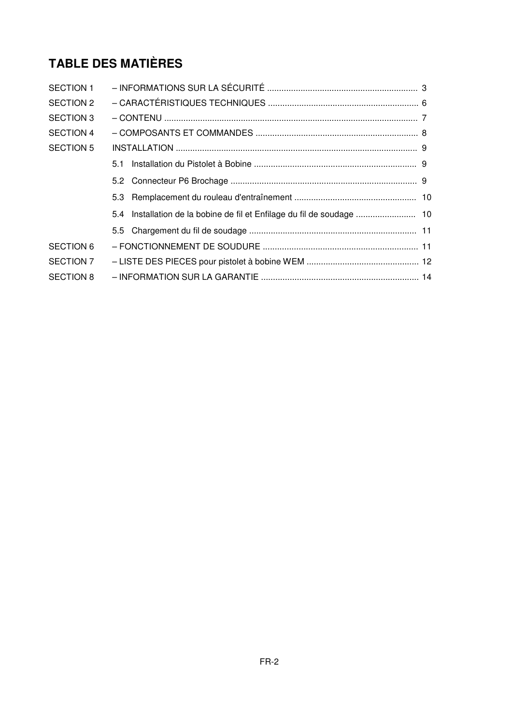## **TABLE DES MATIÈRES**

| SECTION 1        |                                                                        |  |  |
|------------------|------------------------------------------------------------------------|--|--|
| <b>SECTION 2</b> |                                                                        |  |  |
| <b>SECTION 3</b> |                                                                        |  |  |
| SECTION 4        |                                                                        |  |  |
| <b>SECTION 5</b> |                                                                        |  |  |
|                  | 5.1                                                                    |  |  |
|                  |                                                                        |  |  |
|                  |                                                                        |  |  |
|                  | 5.4 Installation de la bobine de fil et Enfilage du fil de soudage  10 |  |  |
|                  |                                                                        |  |  |
| <b>SECTION 6</b> |                                                                        |  |  |
| SECTION 7        |                                                                        |  |  |
| <b>SECTION 8</b> |                                                                        |  |  |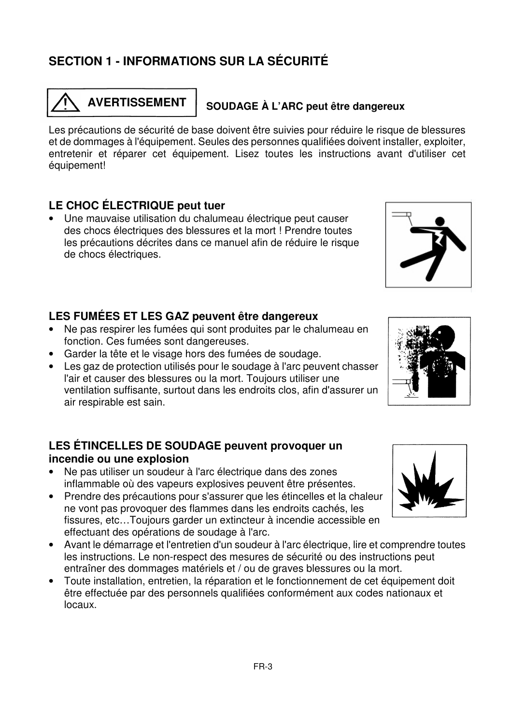## **SECTION 1 - INFORMATIONS SUR LA SÉCURITÉ**

 $\overline{\phantom{0}}$ 

### **LE CHOC ÉLECTRIQUE peut tuer**

équipement!

• Une mauvaise utilisation du chalumeau électrique peut causer des chocs électriques des blessures et la mort ! Prendre toutes les précautions décrites dans ce manuel afin de réduire le risque de chocs électriques.

entretenir et réparer cet équipement. Lisez toutes les instructions avant d'utiliser cet

#### **LES FUMÉES ET LES GAZ peuvent être dangereux**

- Ne pas respirer les fumées qui sont produites par le chalumeau en fonction. Ces fumées sont dangereuses.
- Garder la tête et le visage hors des fumées de soudage.
- Les gaz de protection utilisés pour le soudage à l'arc peuvent chasser l'air et causer des blessures ou la mort. Toujours utiliser une ventilation suffisante, surtout dans les endroits clos, afin d'assurer un air respirable est sain.

### **LES ÉTINCELLES DE SOUDAGE peuvent provoquer un incendie ou une explosion**

- Ne pas utiliser un soudeur à l'arc électrique dans des zones inflammable où des vapeurs explosives peuvent être présentes.
- Prendre des précautions pour s'assurer que les étincelles et la chaleur ne vont pas provoquer des flammes dans les endroits cachés, les fissures, etc…Toujours garder un extincteur à incendie accessible en effectuant des opérations de soudage à l'arc.
- Avant le démarrage et l'entretien d'un soudeur à l'arc électrique, lire et comprendre toutes les instructions. Le non-respect des mesures de sécurité ou des instructions peut entraîner des dommages matériels et / ou de graves blessures ou la mort.
- Toute installation, entretien, la réparation et le fonctionnement de cet équipement doit être effectuée par des personnels qualifiées conformément aux codes nationaux et locaux.







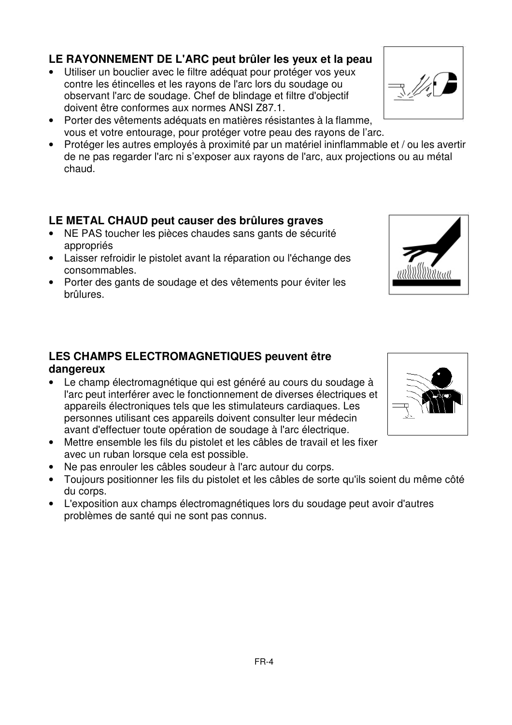## **LE RAYONNEMENT DE L'ARC peut brûler les yeux et la peau**

- Utiliser un bouclier avec le filtre adéquat pour protéger vos yeux contre les étincelles et les rayons de l'arc lors du soudage ou observant l'arc de soudage. Chef de blindage et filtre d'objectif doivent être conformes aux normes ANSI Z87.1.
- Porter des vêtements adéquats en matières résistantes à la flamme, vous et votre entourage, pour protéger votre peau des rayons de l'arc.
- Protéger les autres employés à proximité par un matériel ininflammable et / ou les avertir de ne pas regarder l'arc ni s'exposer aux rayons de l'arc, aux projections ou au métal chaud.

### **LE METAL CHAUD peut causer des brûlures graves**

- NE PAS toucher les pièces chaudes sans gants de sécurité appropriés
- Laisser refroidir le pistolet avant la réparation ou l'échange des consommables.
- Porter des gants de soudage et des vêtements pour éviter les brûlures.

# **LES CHAMPS ELECTROMAGNETIQUES peuvent être**

- **dangereux**
- Le champ électromagnétique qui est généré au cours du soudage à l'arc peut interférer avec le fonctionnement de diverses électriques et appareils électroniques tels que les stimulateurs cardiaques. Les personnes utilisant ces appareils doivent consulter leur médecin avant d'effectuer toute opération de soudage à l'arc électrique.
- Mettre ensemble les fils du pistolet et les câbles de travail et les fixer avec un ruban lorsque cela est possible.
- Ne pas enrouler les câbles soudeur à l'arc autour du corps.
- Toujours positionner les fils du pistolet et les câbles de sorte qu'ils soient du même côté du corps.
- L'exposition aux champs électromagnétiques lors du soudage peut avoir d'autres problèmes de santé qui ne sont pas connus.



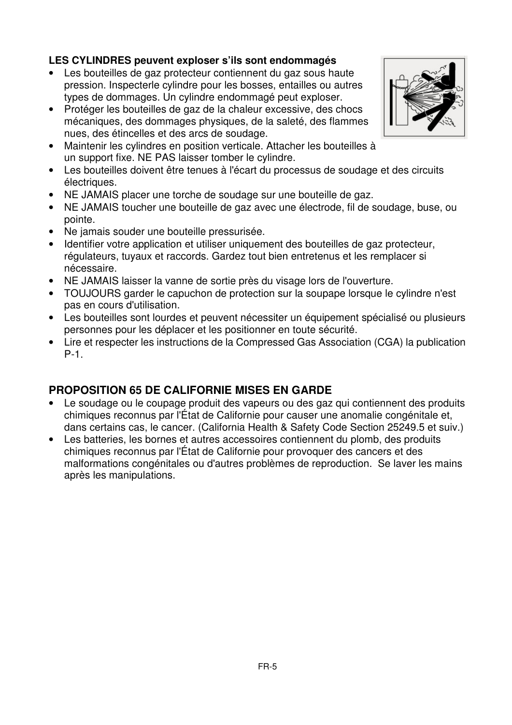#### **LES CYLINDRES peuvent exploser s'ils sont endommagés**

- Les bouteilles de gaz protecteur contiennent du gaz sous haute pression. Inspecterle cylindre pour les bosses, entailles ou autres types de dommages. Un cylindre endommagé peut exploser.
- Protéger les bouteilles de gaz de la chaleur excessive, des chocs mécaniques, des dommages physiques, de la saleté, des flammes nues, des étincelles et des arcs de soudage.
- Maintenir les cylindres en position verticale. Attacher les bouteilles à un support fixe. NE PAS laisser tomber le cylindre.
- Les bouteilles doivent être tenues à l'écart du processus de soudage et des circuits électriques.
- NE JAMAIS placer une torche de soudage sur une bouteille de gaz.
- NE JAMAIS toucher une bouteille de gaz avec une électrode, fil de soudage, buse, ou pointe.
- Ne jamais souder une bouteille pressurisée.
- Identifier votre application et utiliser uniquement des bouteilles de gaz protecteur, régulateurs, tuyaux et raccords. Gardez tout bien entretenus et les remplacer si nécessaire.
- NE JAMAIS laisser la vanne de sortie près du visage lors de l'ouverture.
- TOUJOURS garder le capuchon de protection sur la soupape lorsque le cylindre n'est pas en cours d'utilisation.
- Les bouteilles sont lourdes et peuvent nécessiter un équipement spécialisé ou plusieurs personnes pour les déplacer et les positionner en toute sécurité.
- Lire et respecter les instructions de la Compressed Gas Association (CGA) la publication P-1.

### **PROPOSITION 65 DE CALIFORNIE MISES EN GARDE**

- Le soudage ou le coupage produit des vapeurs ou des gaz qui contiennent des produits chimiques reconnus par l'État de Californie pour causer une anomalie congénitale et, dans certains cas, le cancer. (California Health & Safety Code Section 25249.5 et suiv.)
- Les batteries, les bornes et autres accessoires contiennent du plomb, des produits chimiques reconnus par l'État de Californie pour provoquer des cancers et des malformations congénitales ou d'autres problèmes de reproduction. Se laver les mains après les manipulations.

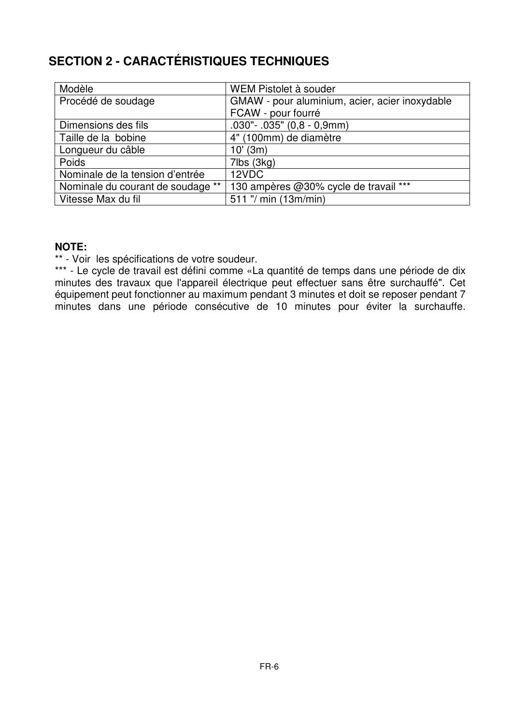## **SECTION 2 - CARACTÉRISTIQUES TECHNIQUES**

| Modèle                            | WEM Pistolet à souder                          |
|-----------------------------------|------------------------------------------------|
| Procédé de soudage                | GMAW - pour aluminium, acier, acier inoxydable |
|                                   | FCAW - pour fourré                             |
| Dimensions des fils               | $.030" - .035" (0,8 - 0,9mm)$                  |
| Taille de la bobine               | 4" (100mm) de diamètre                         |
| Longueur du câble                 | $10'$ (3m)                                     |
| <b>Poids</b>                      | 7lbs (3kg)                                     |
| Nominale de la tension d'entrée   | 12VDC                                          |
| Nominale du courant de soudage ** | 130 ampères @30% cycle de travail ***          |
| Vitesse Max du fil                | 511 "/ min (13m/min)                           |

#### **NOTE:**

\*\* - Voir les spécifications de votre soudeur.

\*\*\* - Le cycle de travail est défini comme «La quantité de temps dans une période de dix minutes des travaux que l'appareil électrique peut effectuer sans être surchauffé". Cet équipement peut fonctionner au maximum pendant 3 minutes et doit se reposer pendant 7 minutes dans une période consécutive de 10 minutes pour éviter la surchauffe.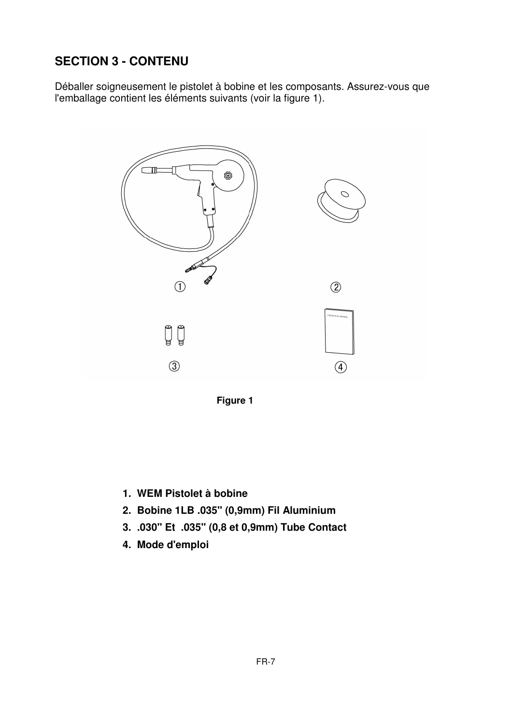## **SECTION 3 - CONTENU**

Déballer soigneusement le pistolet à bobine et les composants. Assurez-vous que l'emballage contient les éléments suivants (voir la figure 1).





- **1. WEM Pistolet à bobine**
- **2. Bobine 1LB .035" (0,9mm) Fil Aluminium**
- **3. .030" Et .035" (0,8 et 0,9mm) Tube Contact**
- **4. Mode d'emploi**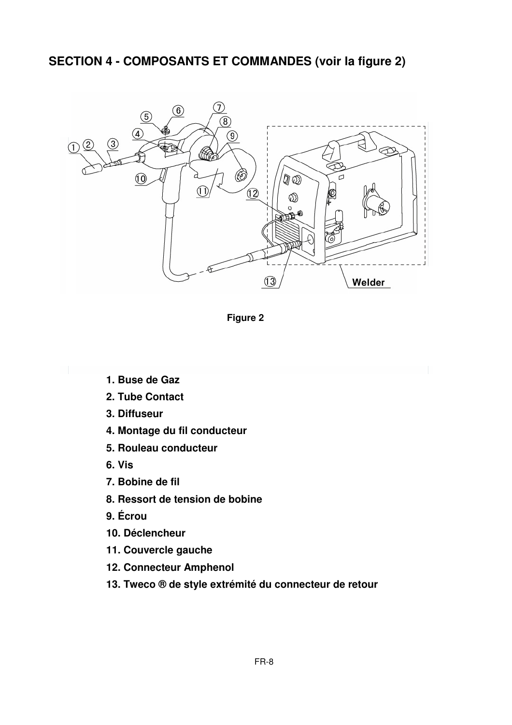### **SECTION 4 - COMPOSANTS ET COMMANDES (voir la figure 2)**



**Figure 2** 

- **1. Buse de Gaz**
- **2. Tube Contact**
- **3. Diffuseur**
- **4. Montage du fil conducteur**
- **5. Rouleau conducteur**
- **6. Vis**
- **7. Bobine de fil**
- **8. Ressort de tension de bobine**
- **9. Écrou**
- **10. Déclencheur**
- **11. Couvercle gauche**
- **12. Connecteur Amphenol**
- **13. Tweco ® de style extrémité du connecteur de retour**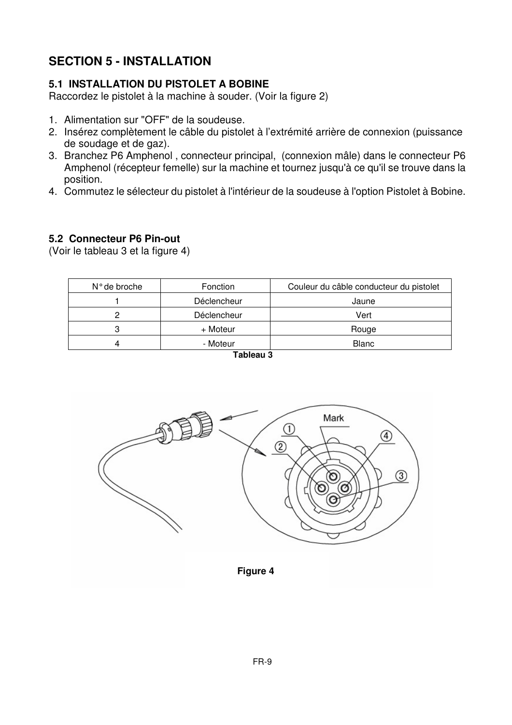## **SECTION 5 - INSTALLATION**

#### **5.1 INSTALLATION DU PISTOLET A BOBINE**

Raccordez le pistolet à la machine à souder. (Voir la figure 2)

- 1. Alimentation sur "OFF" de la soudeuse.
- 2. Insérez complètement le câble du pistolet à l'extrémité arrière de connexion (puissance de soudage et de gaz).
- 3. Branchez P6 Amphenol , connecteur principal, (connexion mâle) dans le connecteur P6 Amphenol (récepteur femelle) sur la machine et tournez jusqu'à ce qu'il se trouve dans la position.
- 4. Commutez le sélecteur du pistolet à l'intérieur de la soudeuse à l'option Pistolet à Bobine.

#### **5.2 Connecteur P6 Pin-out**

(Voir le tableau 3 et la figure 4)

| N° de broche | Fonction    | Couleur du câble conducteur du pistolet |
|--------------|-------------|-----------------------------------------|
|              | Déclencheur | Jaune                                   |
|              | Déclencheur | Vert                                    |
|              | + Moteur    | Rouge                                   |
|              | - Moteur    | <b>Blanc</b>                            |
|              | _ _ _ _     |                                         |



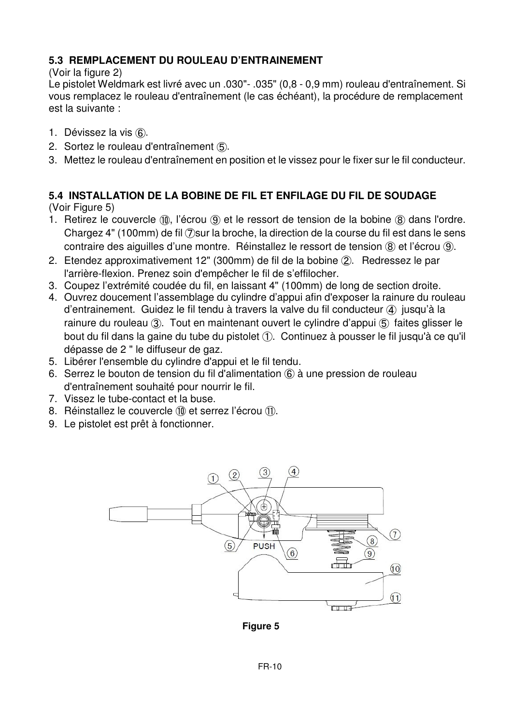### **5.3 REMPLACEMENT DU ROULEAU D'ENTRAINEMENT**

(Voir la figure 2)

Le pistolet Weldmark est livré avec un .030"- .035" (0,8 - 0,9 mm) rouleau d'entraînement. Si vous remplacez le rouleau d'entraînement (le cas échéant), la procédure de remplacement est la suivante :

- 1. Dévissez la vis ⑥.
- 2. Sortez le rouleau d'entraînement ⑤.
- 3. Mettez le rouleau d'entraînement en position et le vissez pour le fixer sur le fil conducteur.

#### **5.4 INSTALLATION DE LA BOBINE DE FIL ET ENFILAGE DU FIL DE SOUDAGE** (Voir Figure 5)

- 1. Retirez le couvercle ⑩, l'écrou ⑨ et le ressort de tension de la bobine ⑧ dans l'ordre. Chargez 4" (100mm) de fil ⑦sur la broche, la direction de la course du fil est dans le sens contraire des aiguilles d'une montre. Réinstallez le ressort de tension ⑧ et l'écrou ⑨.
- 2. Etendez approximativement 12" (300mm) de fil de la bobine ②. Redressez le par l'arrière-flexion. Prenez soin d'empêcher le fil de s'effilocher.
- 3. Coupez l'extrémité coudée du fil, en laissant 4" (100mm) de long de section droite.
- 4. Ouvrez doucement l'assemblage du cylindre d'appui afin d'exposer la rainure du rouleau d'entrainement. Guidez le fil tendu à travers la valve du fil conducteur ④ jusqu'à la rainure du rouleau ③. Tout en maintenant ouvert le cylindre d'appui ⑤ faites glisser le bout du fil dans la gaine du tube du pistolet ①. Continuez à pousser le fil jusqu'à ce qu'il dépasse de 2 " le diffuseur de gaz.
- 5. Libérer l'ensemble du cylindre d'appui et le fil tendu.
- 6. Serrez le bouton de tension du fil d'alimentation ⑥ à une pression de rouleau d'entraînement souhaité pour nourrir le fil.
- 7. Vissez le tube-contact et la buse.
- 8. Réinstallez le couvercle (10 et serrez l'écrou (11).
- 9. Le pistolet est prêt à fonctionner.



**Figure 5**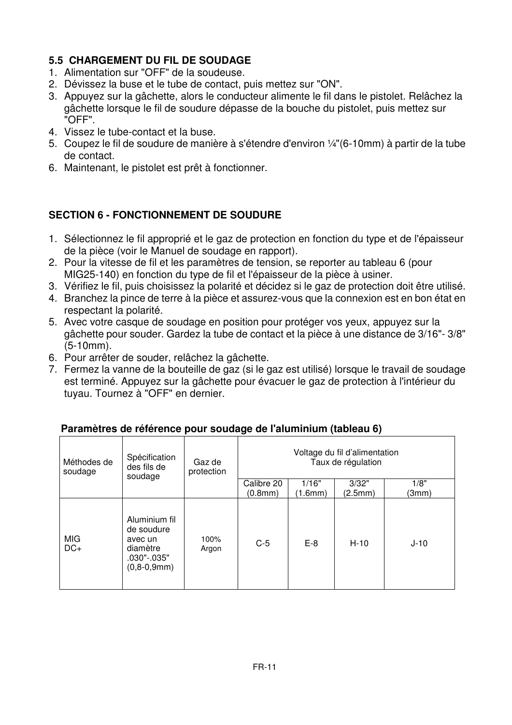### **5.5 CHARGEMENT DU FIL DE SOUDAGE**

- 1. Alimentation sur "OFF" de la soudeuse.
- 2. Dévissez la buse et le tube de contact, puis mettez sur "ON".
- 3. Appuyez sur la gâchette, alors le conducteur alimente le fil dans le pistolet. Relâchez la gâchette lorsque le fil de soudure dépasse de la bouche du pistolet, puis mettez sur "OFF".
- 4. Vissez le tube-contact et la buse.
- 5. Coupez le fil de soudure de manière à s'étendre d'environ ¼"(6-10mm) à partir de la tube de contact.
- 6. Maintenant, le pistolet est prêt à fonctionner.

#### **SECTION 6 - FONCTIONNEMENT DE SOUDURE**

- 1. Sélectionnez le fil approprié et le gaz de protection en fonction du type et de l'épaisseur de la pièce (voir le Manuel de soudage en rapport).
- 2. Pour la vitesse de fil et les paramètres de tension, se reporter au tableau 6 (pour MIG25-140) en fonction du type de fil et l'épaisseur de la pièce à usiner.
- 3. Vérifiez le fil, puis choisissez la polarité et décidez si le gaz de protection doit être utilisé.
- 4. Branchez la pince de terre à la pièce et assurez-vous que la connexion est en bon état en respectant la polarité.
- 5. Avec votre casque de soudage en position pour protéger vos yeux, appuyez sur la gâchette pour souder. Gardez la tube de contact et la pièce à une distance de 3/16"- 3/8" (5-10mm).
- 6. Pour arrêter de souder, relâchez la gâchette.
- 7. Fermez la vanne de la bouteille de gaz (si le gaz est utilisé) lorsque le travail de soudage est terminé. Appuyez sur la gâchette pour évacuer le gaz de protection à l'intérieur du tuyau. Tournez à "OFF" en dernier.

| Méthodes de<br>soudage | Spécification<br>des fils de<br>soudage                                            | Gaz de<br>protection | Voltage du fil d'alimentation<br>Taux de régulation |                  |                  |               |
|------------------------|------------------------------------------------------------------------------------|----------------------|-----------------------------------------------------|------------------|------------------|---------------|
|                        |                                                                                    |                      | Calibre 20<br>(0.8mm)                               | 1/16"<br>(1.6mm) | 3/32"<br>(2.5mm) | 1/8"<br>(3mm) |
| <b>MIG</b><br>$DC+$    | Aluminium fil<br>de soudure<br>avec un<br>diamètre<br>.030"-.035"<br>$(0,8-0,9mm)$ | 100%<br>Argon        | $C-5$                                               | $E-8$            | $H-10$           | $J-10$        |

#### **Paramètres de référence pour soudage de l'aluminium (tableau 6)**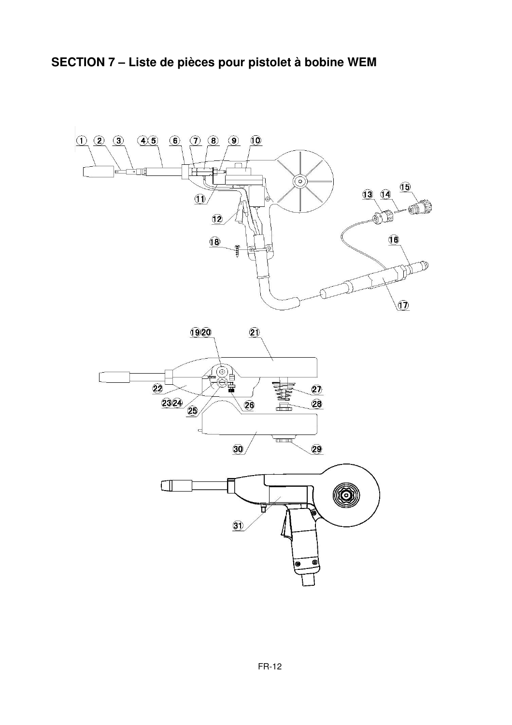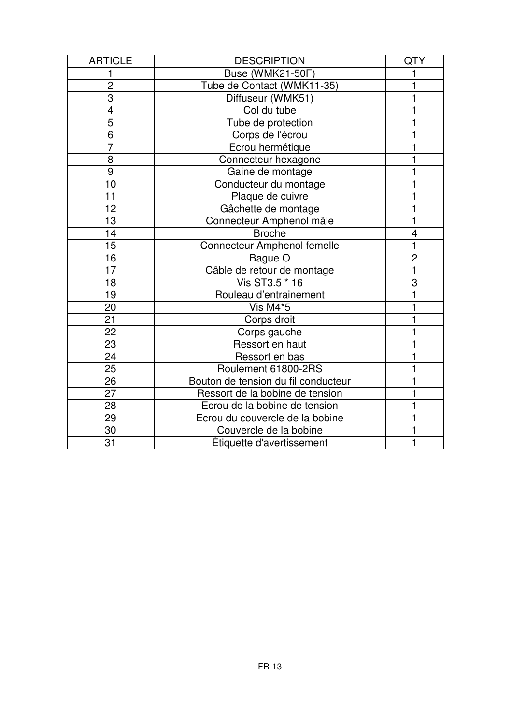| <b>ARTICLE</b>  | <b>DESCRIPTION</b>                  | QTY            |
|-----------------|-------------------------------------|----------------|
|                 | <b>Buse (WMK21-50F)</b>             |                |
| $\overline{2}$  | Tube de Contact (WMK11-35)          |                |
| $\overline{3}$  | Diffuseur (WMK51)                   |                |
| 4               | Col du tube                         |                |
| 5               | Tube de protection                  |                |
| 6               | Corps de l'écrou                    |                |
| $\overline{7}$  | Ecrou hermétique                    |                |
| 8               | Connecteur hexagone                 |                |
| 9               | Gaine de montage                    |                |
| 10              | Conducteur du montage               |                |
| 11              | Plaque de cuivre                    |                |
| 12              | Gâchette de montage                 |                |
| 13              | Connecteur Amphenol mâle            |                |
| 14              | <b>Broche</b>                       | 4              |
| $\overline{15}$ | <b>Connecteur Amphenol femelle</b>  | 1              |
| 16              | Bague O                             | $\overline{2}$ |
| 17              | Câble de retour de montage          | 1              |
| 18              | Vis ST3.5 * 16                      | 3              |
| 19              | Rouleau d'entrainement              |                |
| 20              | Vis M4*5                            |                |
| 21              | Corps droit                         |                |
| $\overline{22}$ | Corps gauche                        |                |
| 23              | Ressort en haut                     |                |
| 24              | Ressort en bas                      |                |
| 25              | Roulement 61800-2RS                 |                |
| 26              | Bouton de tension du fil conducteur |                |
| 27              | Ressort de la bobine de tension     |                |
| 28              | Ecrou de la bobine de tension       |                |
| 29              | Ecrou du couvercle de la bobine     |                |
| 30              | Couvercle de la bobine              |                |
| 31              | Étiquette d'avertissement           | 1              |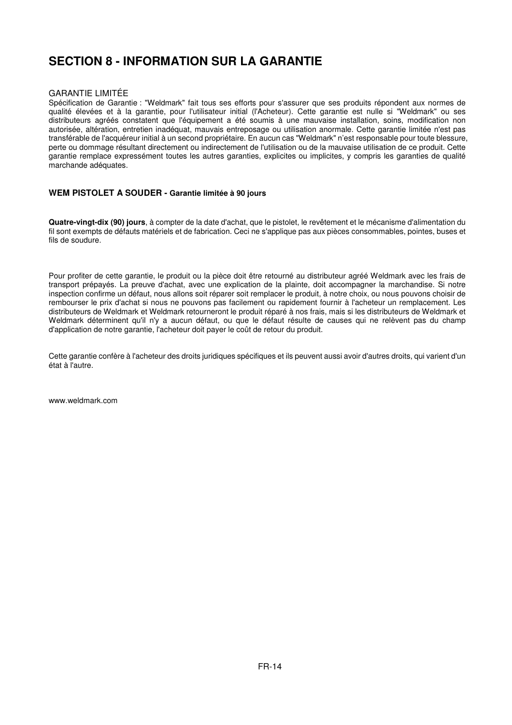## **SECTION 8 - INFORMATION SUR LA GARANTIE**

#### GARANTIE LIMITÉE

Spécification de Garantie : "Weldmark" fait tous ses efforts pour s'assurer que ses produits répondent aux normes de qualité élevées et à la garantie, pour l'utilisateur initial (l'Acheteur). Cette garantie est nulle si "Weldmark" ou ses distributeurs agréés constatent que l'équipement a été soumis à une mauvaise installation, soins, modification non autorisée, altération, entretien inadéquat, mauvais entreposage ou utilisation anormale. Cette garantie limitée n'est pas transférable de l'acquéreur initial à un second propriétaire. En aucun cas "Weldmark" n'est responsable pour toute blessure, perte ou dommage résultant directement ou indirectement de l'utilisation ou de la mauvaise utilisation de ce produit. Cette garantie remplace expressément toutes les autres garanties, explicites ou implicites, y compris les garanties de qualité marchande adéquates.

#### **WEM PISTOLET A SOUDER - Garantie limitée à 90 jours**

**Quatre-vingt-dix (90) jours**, à compter de la date d'achat, que le pistolet, le revêtement et le mécanisme d'alimentation du fil sont exempts de défauts matériels et de fabrication. Ceci ne s'applique pas aux pièces consommables, pointes, buses et fils de soudure.

Pour profiter de cette garantie, le produit ou la pièce doit être retourné au distributeur agréé Weldmark avec les frais de transport prépayés. La preuve d'achat, avec une explication de la plainte, doit accompagner la marchandise. Si notre inspection confirme un défaut, nous allons soit réparer soit remplacer le produit, à notre choix, ou nous pouvons choisir de rembourser le prix d'achat si nous ne pouvons pas facilement ou rapidement fournir à l'acheteur un remplacement. Les distributeurs de Weldmark et Weldmark retourneront le produit réparé à nos frais, mais si les distributeurs de Weldmark et Weldmark déterminent qu'il n'y a aucun défaut, ou que le défaut résulte de causes qui ne relèvent pas du champ d'application de notre garantie, l'acheteur doit payer le coût de retour du produit.

Cette garantie confère à l'acheteur des droits juridiques spécifiques et ils peuvent aussi avoir d'autres droits, qui varient d'un état à l'autre.

www.weldmark.com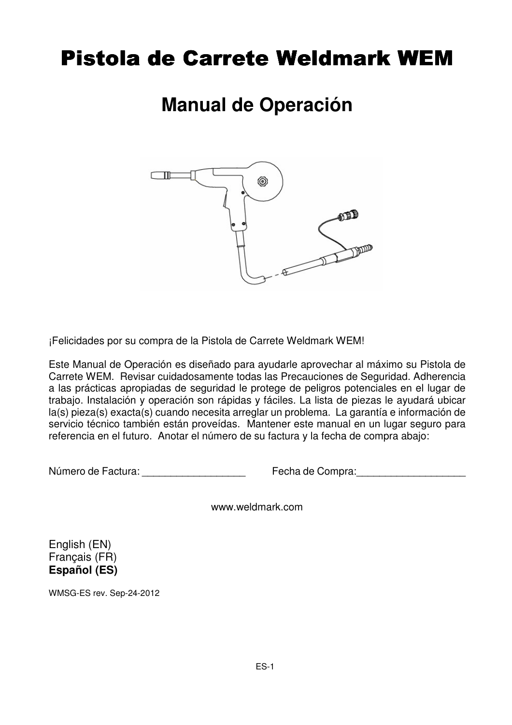# Pistola de Carrete Weldmark WEM

# **Manual de Operación**



¡Felicidades por su compra de la Pistola de Carrete Weldmark WEM!

Este Manual de Operación es diseñado para ayudarle aprovechar al máximo su Pistola de Carrete WEM. Revisar cuidadosamente todas las Precauciones de Seguridad. Adherencia a las prácticas apropiadas de seguridad le protege de peligros potenciales en el lugar de trabajo. Instalación y operación son rápidas y fáciles. La lista de piezas le ayudará ubicar la(s) pieza(s) exacta(s) cuando necesita arreglar un problema. La garantía e información de servicio técnico también están proveídas. Mantener este manual en un lugar seguro para referencia en el futuro. Anotar el número de su factura y la fecha de compra abajo:

Número de Factura: et al. et al. et al. et al. et al. et al. et al. et al. et al. et al. et al. et al. et al. e

www.weldmark.com

English (EN) Français (FR) **Español (ES)**

WMSG-ES rev. Sep-24-2012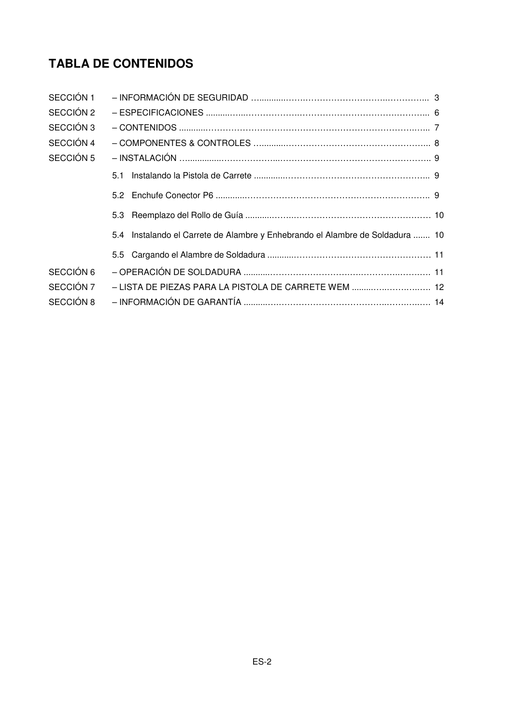## **TABLA DE CONTENIDOS**

| SECCIÓN 1 |                                                                               |  |
|-----------|-------------------------------------------------------------------------------|--|
| SECCIÓN 2 |                                                                               |  |
| SECCIÓN 3 |                                                                               |  |
| SECCIÓN 4 |                                                                               |  |
| SECCIÓN 5 |                                                                               |  |
|           | 5.1                                                                           |  |
|           |                                                                               |  |
|           | 5.3                                                                           |  |
|           | 5.4 Instalando el Carrete de Alambre y Enhebrando el Alambre de Soldadura  10 |  |
|           |                                                                               |  |
| SECCIÓN 6 |                                                                               |  |
| SECCIÓN 7 | - LISTA DE PIEZAS PARA LA PISTOLA DE CARRETE WEM  12                          |  |
| SECCIÓN 8 |                                                                               |  |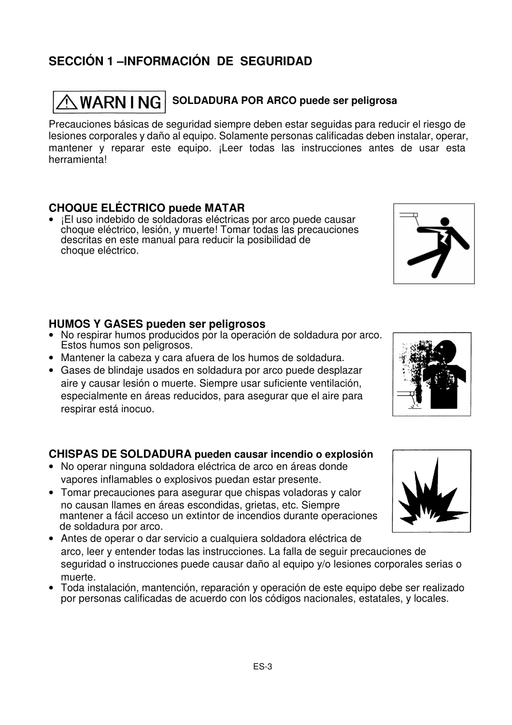## **SECCIÓN 1 –INFORMACIÓN DE SEGURIDAD**

## $\hat{\wedge}$  <code>WARN I NG  $|$  SOLDADURA POR ARCO puede ser peligrosa</code>

Precauciones básicas de seguridad siempre deben estar seguidas para reducir el riesgo de lesiones corporales y daño al equipo. Solamente personas calificadas deben instalar, operar, mantener y reparar este equipo. ¡Leer todas las instrucciones antes de usar esta herramienta!

#### **CHOQUE ELÉCTRICO puede MATAR**

• ¡El uso indebido de soldadoras eléctricas por arco puede causar choque eléctrico, lesión, y muerte! Tomar todas las precauciones descritas en este manual para reducir la posibilidad de choque eléctrico.

#### **HUMOS Y GASES pueden ser peligrosos**

- No respirar humos producidos por la operación de soldadura por arco. Estos humos son peligrosos.
- Mantener la cabeza y cara afuera de los humos de soldadura.
- Gases de blindaje usados en soldadura por arco puede desplazar aire y causar lesión o muerte. Siempre usar suficiente ventilación, especialmente en áreas reducidos, para asegurar que el aire para respirar está inocuo.

#### **CHISPAS DE SOLDADURA pueden causar incendio o explosión**

- No operar ninguna soldadora eléctrica de arco en áreas donde vapores inflamables o explosivos puedan estar presente.
- Tomar precauciones para asegurar que chispas voladoras y calor no causan llames en áreas escondidas, grietas, etc. Siempre mantener a fácil acceso un extintor de incendios durante operaciones de soldadura por arco.
- Antes de operar o dar servicio a cualquiera soldadora eléctrica de arco, leer y entender todas las instrucciones. La falla de seguir precauciones de seguridad o instrucciones puede causar daño al equipo y/o lesiones corporales serias o muerte.
- Toda instalación, mantención, reparación y operación de este equipo debe ser realizado por personas calificadas de acuerdo con los códigos nacionales, estatales, y locales.





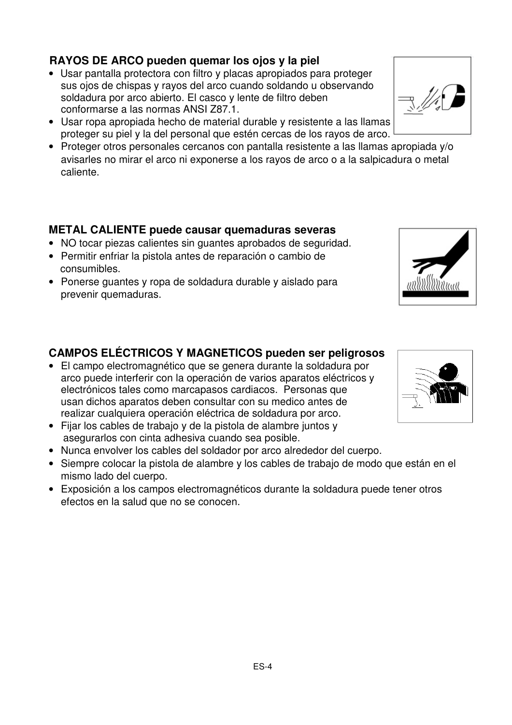### **RAYOS DE ARCO pueden quemar los ojos y la piel**

- Usar pantalla protectora con filtro y placas apropiados para proteger sus ojos de chispas y rayos del arco cuando soldando u observando soldadura por arco abierto. El casco y lente de filtro deben conformarse a las normas ANSI Z87.1.
- Usar ropa apropiada hecho de material durable y resistente a las llamas proteger su piel y la del personal que estén cercas de los rayos de arco.
- Proteger otros personales cercanos con pantalla resistente a las llamas apropiada y/o avisarles no mirar el arco ni exponerse a los rayos de arco o a la salpicadura o metal caliente.

#### **METAL CALIENTE puede causar quemaduras severas**

- NO tocar piezas calientes sin guantes aprobados de seguridad.
- Permitir enfriar la pistola antes de reparación o cambio de consumibles.
- Ponerse guantes y ropa de soldadura durable y aislado para prevenir quemaduras.

### **CAMPOS ELÉCTRICOS Y MAGNETICOS pueden ser peligrosos**

- El campo electromagnético que se genera durante la soldadura por arco puede interferir con la operación de varios aparatos eléctricos y electrónicos tales como marcapasos cardiacos. Personas que usan dichos aparatos deben consultar con su medico antes de realizar cualquiera operación eléctrica de soldadura por arco.
- Fijar los cables de trabajo y de la pistola de alambre juntos y asegurarlos con cinta adhesiva cuando sea posible.
- Nunca envolver los cables del soldador por arco alrededor del cuerpo.
- Siempre colocar la pistola de alambre y los cables de trabajo de modo que están en el mismo lado del cuerpo.
- Exposición a los campos electromagnéticos durante la soldadura puede tener otros efectos en la salud que no se conocen.





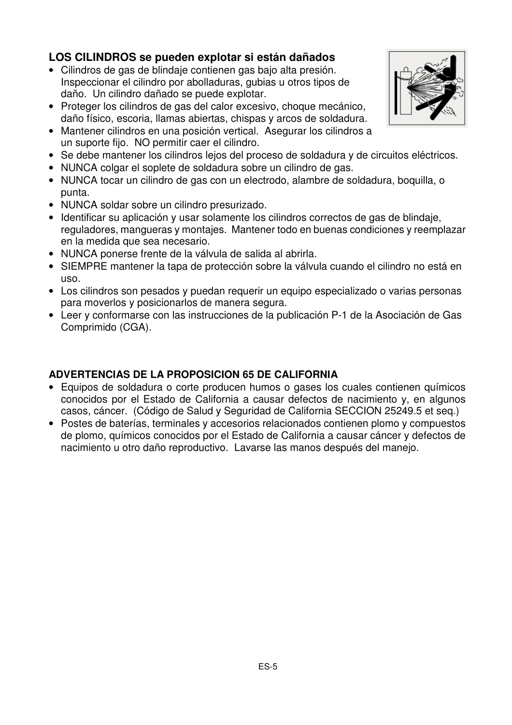### **LOS CILINDROS se pueden explotar si están dañados**

- Cilindros de gas de blindaje contienen gas bajo alta presión. Inspeccionar el cilindro por abolladuras, gubias u otros tipos de daño. Un cilindro dañado se puede explotar.
- Proteger los cilindros de gas del calor excesivo, choque mecánico, daño físico, escoria, llamas abiertas, chispas y arcos de soldadura.
- Mantener cilindros en una posición vertical. Asegurar los cilindros a un suporte fijo. NO permitir caer el cilindro.
- Se debe mantener los cilindros lejos del proceso de soldadura y de circuitos eléctricos.
- NUNCA colgar el soplete de soldadura sobre un cilindro de gas.
- NUNCA tocar un cilindro de gas con un electrodo, alambre de soldadura, boquilla, o punta.
- NUNCA soldar sobre un cilindro presurizado.
- Identificar su aplicación y usar solamente los cilindros correctos de gas de blindaje, reguladores, mangueras y montajes. Mantener todo en buenas condiciones y reemplazar en la medida que sea necesario.
- NUNCA ponerse frente de la válvula de salida al abrirla.
- SIEMPRE mantener la tapa de protección sobre la válvula cuando el cilindro no está en uso.
- Los cilindros son pesados y puedan requerir un equipo especializado o varias personas para moverlos y posicionarlos de manera segura.
- Leer y conformarse con las instrucciones de la publicación P-1 de la Asociación de Gas Comprimido (CGA).

#### **ADVERTENCIAS DE LA PROPOSICION 65 DE CALIFORNIA**

- Equipos de soldadura o corte producen humos o gases los cuales contienen químicos conocidos por el Estado de California a causar defectos de nacimiento y, en algunos casos, cáncer. (Código de Salud y Seguridad de California SECCION 25249.5 et seq.)
- Postes de baterías, terminales y accesorios relacionados contienen plomo y compuestos de plomo, químicos conocidos por el Estado de California a causar cáncer y defectos de nacimiento u otro daño reproductivo. Lavarse las manos después del manejo.

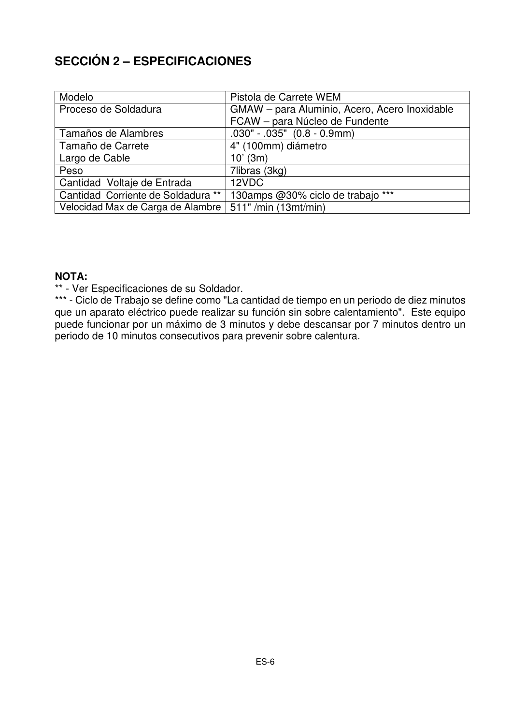## **SECCIÓN 2 – ESPECIFICACIONES**

| Modelo                             | Pistola de Carrete WEM                        |
|------------------------------------|-----------------------------------------------|
| Proceso de Soldadura               | GMAW - para Aluminio, Acero, Acero Inoxidable |
|                                    | FCAW - para Núcleo de Fundente                |
| Tamaños de Alambres                | $.030" - .035"$ $(0.8 - 0.9mm)$               |
| Tamaño de Carrete                  | 4" (100mm) diámetro                           |
| Largo de Cable                     | $10'$ (3m)                                    |
| Peso                               | 7libras (3kg)                                 |
| Cantidad Voltaje de Entrada        | 12VDC                                         |
| Cantidad Corriente de Soldadura ** | 130amps @30% ciclo de trabajo ***             |
| Velocidad Max de Carga de Alambre  | 511" /min (13mt/min)                          |

#### **NOTA:**

\*\* - Ver Especificaciones de su Soldador.

\*\*\* - Ciclo de Trabajo se define como "La cantidad de tiempo en un periodo de diez minutos que un aparato eléctrico puede realizar su función sin sobre calentamiento". Este equipo puede funcionar por un máximo de 3 minutos y debe descansar por 7 minutos dentro un periodo de 10 minutos consecutivos para prevenir sobre calentura.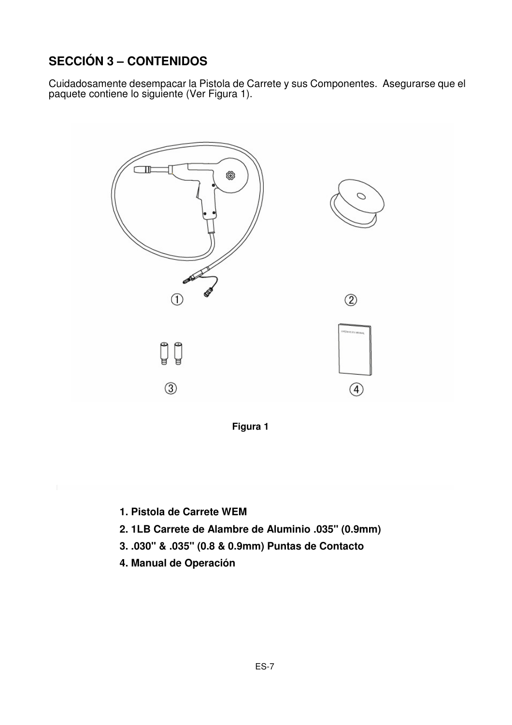## **SECCIÓN 3 – CONTENIDOS**

Cuidadosamente desempacar la Pistola de Carrete y sus Componentes. Asegurarse que el paquete contiene lo siguiente (Ver Figura 1).



**Figura 1** 

- **1. Pistola de Carrete WEM**
- **2. 1LB Carrete de Alambre de Aluminio .035" (0.9mm)**
- **3. .030" & .035" (0.8 & 0.9mm) Puntas de Contacto**
- **4. Manual de Operación**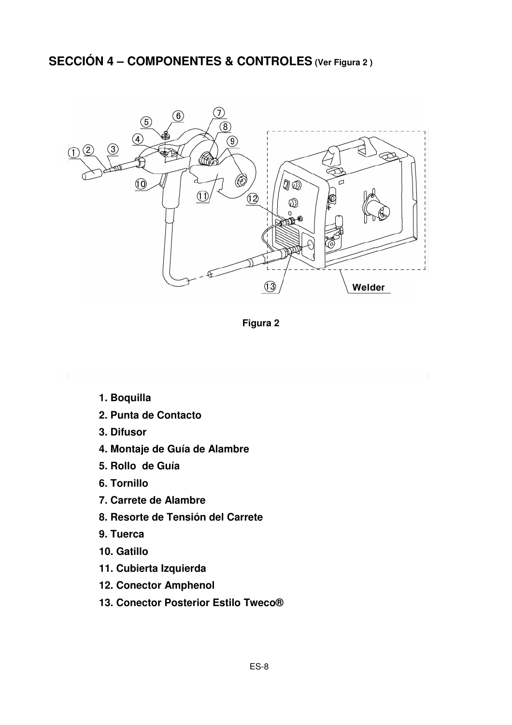## **SECCIÓN 4 – COMPONENTES & CONTROLES (Ver Figura 2 )**



**Figura 2** 

- **1. Boquilla**
- **2. Punta de Contacto**
- **3. Difusor**
- **4. Montaje de Guía de Alambre**
- **5. Rollo de Guía**
- **6. Tornillo**
- **7. Carrete de Alambre**
- **8. Resorte de Tensión del Carrete**
- **9. Tuerca**
- **10. Gatillo**
- **11. Cubierta Izquierda**
- **12. Conector Amphenol**
- **13. Conector Posterior Estilo Tweco®**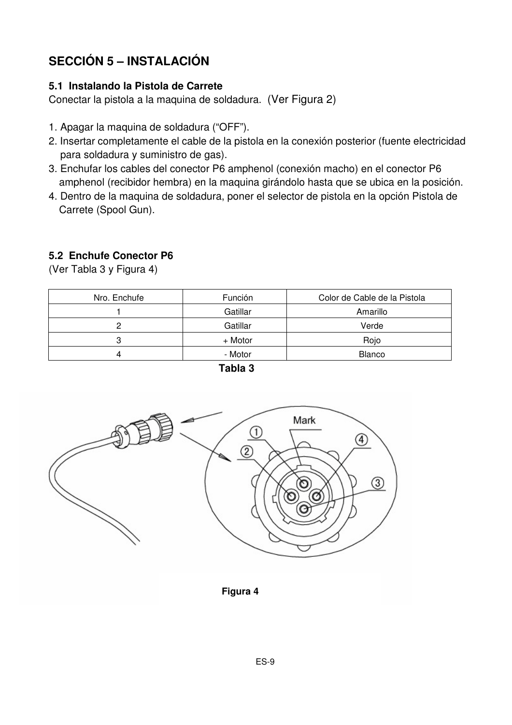## **SECCIÓN 5 – INSTALACIÓN**

#### **5.1 Instalando la Pistola de Carrete**

Conectar la pistola a la maquina de soldadura. (Ver Figura 2)

- 1. Apagar la maquina de soldadura ("OFF").
- 2. Insertar completamente el cable de la pistola en la conexión posterior (fuente electricidad para soldadura y suministro de gas).
- 3. Enchufar los cables del conector P6 amphenol (conexión macho) en el conector P6 amphenol (recibidor hembra) en la maquina girándolo hasta que se ubica en la posición.
- 4. Dentro de la maquina de soldadura, poner el selector de pistola en la opción Pistola de Carrete (Spool Gun).

### **5.2 Enchufe Conector P6**

| Nro. Enchufe | Función  | Color de Cable de la Pistola |  |  |
|--------------|----------|------------------------------|--|--|
|              | Gatillar | Amarillo                     |  |  |
|              | Gatillar | Verde                        |  |  |
|              | + Motor  | Rojo                         |  |  |
|              | - Motor  | <b>Blanco</b>                |  |  |

(Ver Tabla 3 y Figura 4)





**Figura 4**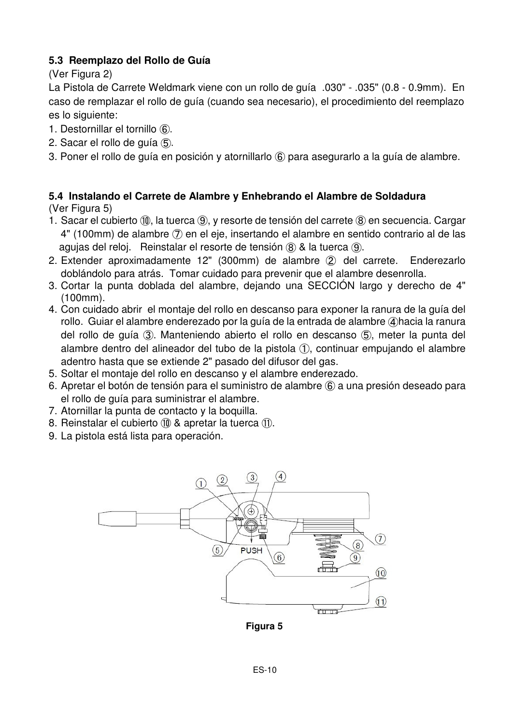#### **5.3 Reemplazo del Rollo de Guía**

(Ver Figura 2)

La Pistola de Carrete Weldmark viene con un rollo de guía .030" - .035" (0.8 - 0.9mm). En caso de remplazar el rollo de guía (cuando sea necesario), el procedimiento del reemplazo es lo siguiente:

- 1. Destornillar el tornillo ⑥.
- 2. Sacar el rollo de guía ⑤.
- 3. Poner el rollo de guía en posición y atornillarlo ⑥ para asegurarlo a la guía de alambre.

#### **5.4 Instalando el Carrete de Alambre y Enhebrando el Alambre de Soldadura**  (Ver Figura 5)

- 1. Sacar el cubierto ⑩, la tuerca ⑨, y resorte de tensión del carrete ⑧ en secuencia. Cargar 4" (100mm) de alambre ⑦ en el eje, insertando el alambre en sentido contrario al de las agujas del reloj. Reinstalar el resorte de tensión ⑧ & la tuerca ⑨.
- 2. Extender aproximadamente 12" (300mm) de alambre ② del carrete. Enderezarlo doblándolo para atrás. Tomar cuidado para prevenir que el alambre desenrolla.
- 3. Cortar la punta doblada del alambre, dejando una SECCIÓN largo y derecho de 4" (100mm).
- 4. Con cuidado abrir el montaje del rollo en descanso para exponer la ranura de la guía del rollo. Guiar el alambre enderezado por la guía de la entrada de alambre ④hacia la ranura del rollo de guía ③. Manteniendo abierto el rollo en descanso ⑤, meter la punta del alambre dentro del alineador del tubo de la pistola ①, continuar empujando el alambre adentro hasta que se extiende 2" pasado del difusor del gas.
- 5. Soltar el montaje del rollo en descanso y el alambre enderezado.
- 6. Apretar el botón de tensión para el suministro de alambre ⑥ a una presión deseado para el rollo de guía para suministrar el alambre.
- 7. Atornillar la punta de contacto y la boquilla.
- 8. Reinstalar el cubierto ⑩ & apretar la tuerca ⑪.
- 9. La pistola está lista para operación.



**Figura 5 Figura 5 Figura 5**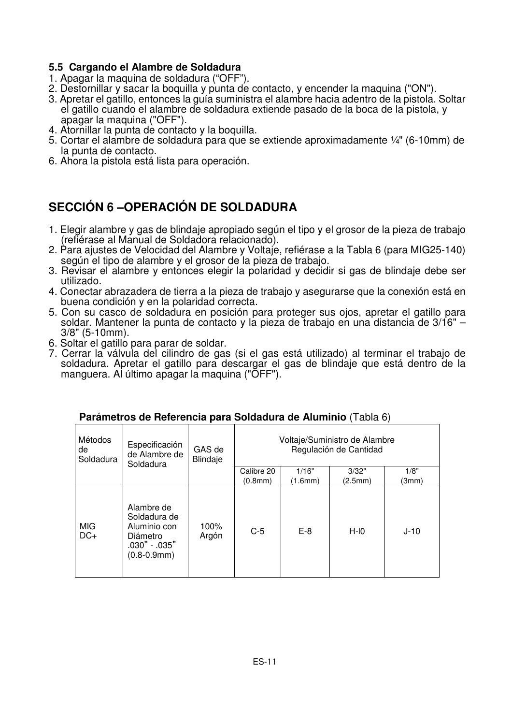#### **5.5 Cargando el Alambre de Soldadura**

- 1. Apagar la maquina de soldadura ("OFF").
- 2. Destornillar y sacar la boquilla y punta de contacto, y encender la maquina ("ON").
- 3. Apretar el gatillo, entonces la guía suministra el alambre hacia adentro de la pistola. Soltar el gatillo cuando el alambre de soldadura extiende pasado de la boca de la pistola, y apagar la maquina ("OFF").
- 4. Atornillar la punta de contacto y la boquilla.
- 5. Cortar el alambre de soldadura para que se extiende aproximadamente ¼" (6-10mm) de la punta de contacto.
- 6. Ahora la pistola está lista para operación.

## **SECCIÓN 6 –OPERACIÓN DE SOLDADURA**

- 1. Elegir alambre y gas de blindaje apropiado según el tipo y el grosor de la pieza de trabajo (refiérase al Manual de Soldadora relacionado).
- 2. Para ajustes de Velocidad del Alambre y Voltaje, refiérase a la Tabla 6 (para MIG25-140) según el tipo de alambre y el grosor de la pieza de trabajo.
- 3. Revisar el alambre y entonces elegir la polaridad y decidir si gas de blindaje debe ser utilizado.
- 4. Conectar abrazadera de tierra a la pieza de trabajo y asegurarse que la conexión está en buena condición y en la polaridad correcta.
- 5. Con su casco de soldadura en posición para proteger sus ojos, apretar el gatillo para soldar. Mantener la punta de contacto y la pieza de trabajo en una distancia de 3/16" – 3/8" (5-10mm).
- 6. Soltar el gatillo para parar de soldar.
- 7. Cerrar la válvula del cilindro de gas (si el gas está utilizado) al terminar el trabajo de soldadura. Apretar el gatillo para descargar el gas de blindaje que está dentro de la manguera. Al último apagar la maquina ("OFF").

| Métodos<br>de<br>Soldadura | Especificación<br>de Alambre de<br>Soldadura                                                   | GAS de<br>Blindaje | Voltaje/Suministro de Alambre<br>Regulación de Cantidad |         |         |        |
|----------------------------|------------------------------------------------------------------------------------------------|--------------------|---------------------------------------------------------|---------|---------|--------|
|                            |                                                                                                |                    | Calibre 20                                              | 1/16"   | 3/32"   | 1/8"   |
|                            |                                                                                                |                    | (0.8mm)                                                 | (1.6mm) | (2.5mm) | (3mm)  |
| MIG<br>$DC+$               | Alambre de<br>Soldadura de<br>Aluminio con<br>Diámetro<br>.030" - .035"<br>$(0.8 - 0.9$ mm $)$ | 100%<br>Argón      | $C-5$                                                   | $E-8$   | $H-IO$  | $J-10$ |

#### **Parámetros de Referencia para Soldadura de Aluminio** (Tabla 6)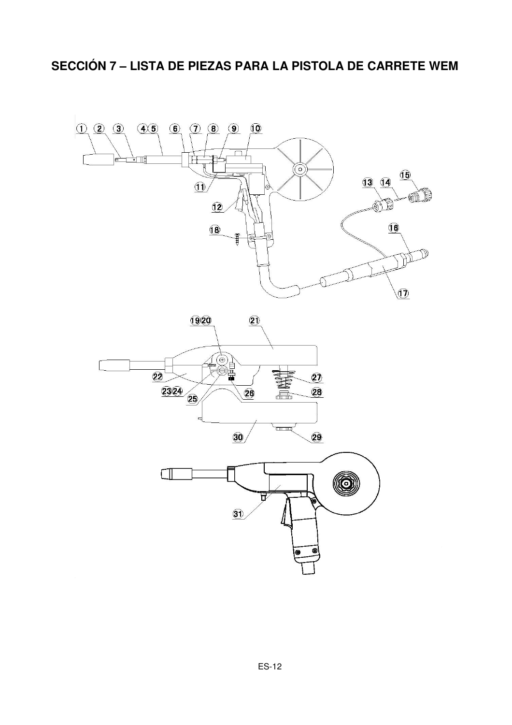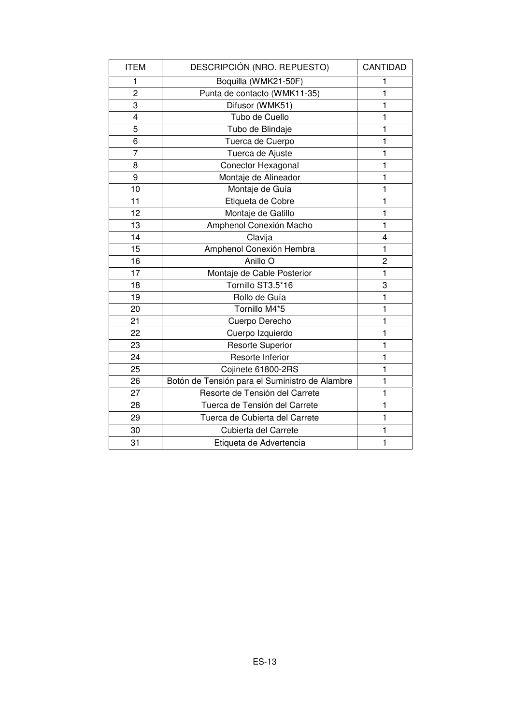| <b>ITEM</b>     | DESCRIPCIÓN (NRO. REPUESTO)                    | CANTIDAD       |
|-----------------|------------------------------------------------|----------------|
| 1               | Boquilla (WMK21-50F)                           | 1              |
| $\overline{2}$  | Punta de contacto (WMK11-35)                   | $\mathbf{1}$   |
| 3               | Difusor (WMK51)                                | 1              |
| 4               | Tubo de Cuello                                 | 1              |
| 5               | Tubo de Blindaje                               | 1              |
| 6               | Tuerca de Cuerpo                               | $\mathbf{1}$   |
| $\overline{7}$  | Tuerca de Ajuste                               | $\mathbf{1}$   |
| 8               | Conector Hexagonal                             | $\mathbf{1}$   |
| 9               | Montaje de Alineador                           | 1              |
| 10              | Montaje de Guía                                | $\mathbf{1}$   |
| 11              | Etiqueta de Cobre                              | 1              |
| 12              | Montaje de Gatillo                             | 1              |
| 13              | Amphenol Conexión Macho                        | $\mathbf{1}$   |
| 14              | Clavija                                        | 4              |
| $\overline{15}$ | Amphenol Conexión Hembra                       | $\mathbf{1}$   |
| 16              | Anillo <sub>O</sub>                            | $\overline{c}$ |
| 17              | Montaje de Cable Posterior                     | 1              |
| 18              | Tornillo ST3.5*16                              | 3              |
| 19              | Rollo de Guía                                  | $\mathbf{1}$   |
| 20              | Tornillo M4*5                                  | 1              |
| 21              | Cuerpo Derecho                                 | 1              |
| 22              | Cuerpo Izquierdo                               | $\mathbf{1}$   |
| 23              | <b>Resorte Superior</b>                        | $\mathbf{1}$   |
| 24              | Resorte Inferior                               | 1              |
| 25              | Cojinete 61800-2RS                             | 1              |
| 26              | Botón de Tensión para el Suministro de Alambre | $\mathbf{1}$   |
| 27              | Resorte de Tensión del Carrete                 | $\mathbf{1}$   |
| 28              | Tuerca de Tensión del Carrete                  | 1              |
| 29              | Tuerca de Cubierta del Carrete                 | $\mathbf{1}$   |
| 30              | Cubierta del Carrete                           | 1              |
| 31              | Etiqueta de Advertencia                        | $\mathbf{1}$   |